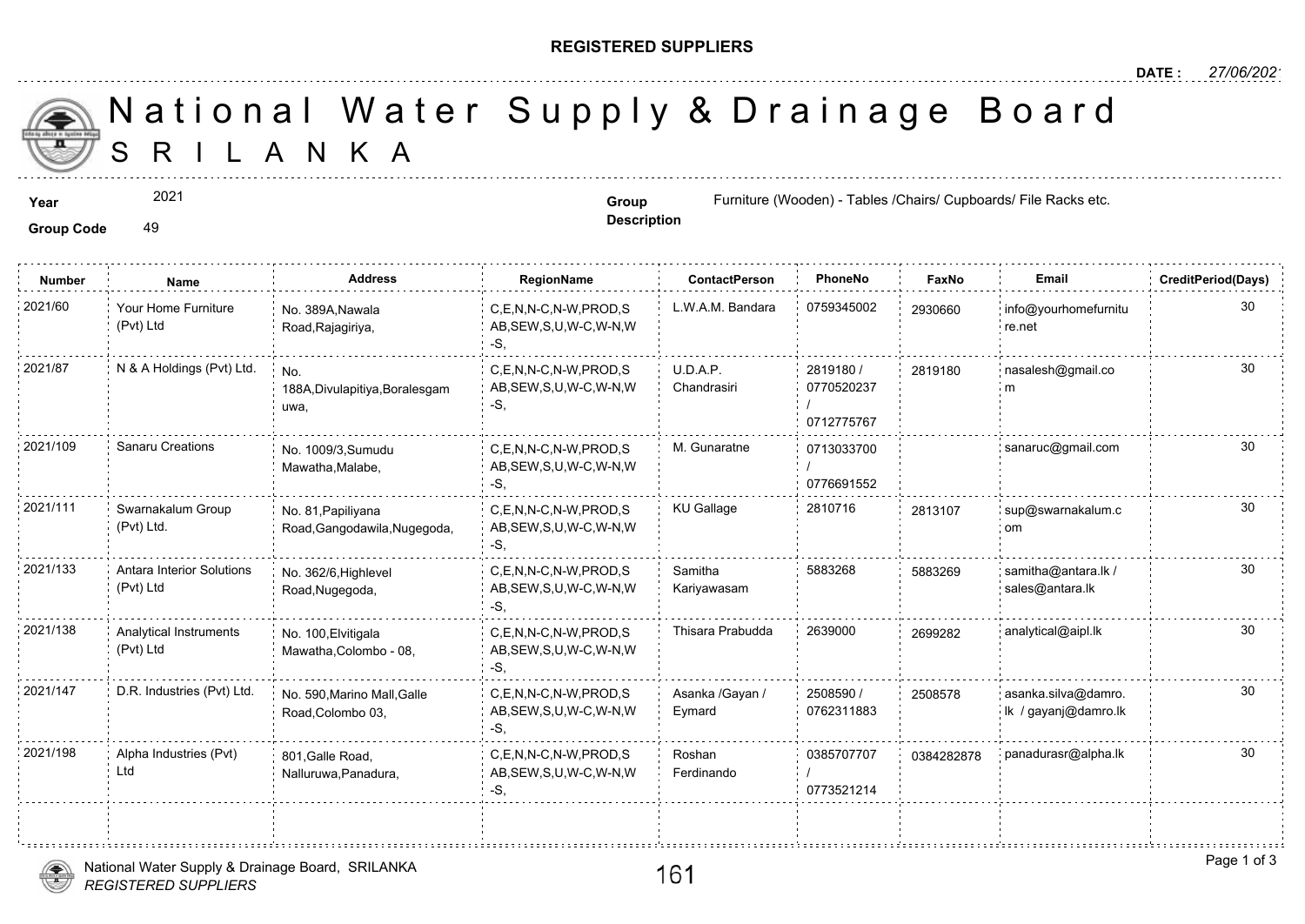## **REGISTERED SUPPLIERS**

**Description**

A N K A National Water Supply & Drainage

Group Code 49

2021

**Number Name Address RegionName ContactPerson PhoneNo FaxNo Email CreditPeriod(Days)** 2021/60 Your Home Furniture No. 389A,Nawala C,E,N,N-C,N-W,PROD,S L.W.A.M. Bandara 0759345002 293066 AB,SEW,S,U,W-C,W-N,W -S, No. 389A,Nawala Road,Rajagiriya, Your Home Furniture (Pvt) Ltd 29306 2819180 / 0770520237 / 0712775767 U.D.A.P. Chandrasiri 2021/87 N & A Holdings (Pvt) Ltd. <sub>No.</sub> C,E,N,N-C,N-W,PROD,S U.D.A.P. 2819180 / 281918 AB,SEW,S,U,W-C,W-N,W -S, No. 188A,Divulapitiya,Boralesgam uwa, 2819180 0713033700 / 0776691552 C,E,N,N-C,N-W,PROD,S M. Gunaratne 2021/109 Sanaru Creations sanaruc@gmail.com AB,SEW,S,U,W-C,W-N,W -S, No. 1009/3,Sumudu Mawatha,Malabe, 2021/111 Swarnakalum Group No. 81. Papiliyana C,E,N,N-C,N-W,PROD,S KU Gallage 2810716 281310 AB,SEW,S,U,W-C,W-N,W -S, No. 81,Papiliyana Road,Gangodawila,Nugegoda, Swarnakalum Group (Pvt) Ltd. 281310 Samitha 5883268 588326 Kariyawasam 2021/133 Antara Interior Solutions No. 362/6, Highlevel C,E,N,N-C,N-W,PROD,S Samitha 5883268 588326 AB,SEW,S,U,W-C,W-N,W -S, No. 362/6,Highlevel Road,Nugegoda, Antara Interior Solutions (Pvt) Ltd 588326 2021/138 Analytical Instruments No. 100,Elvitigala C,E,N,N-C,N-W,PROD,S Thisara Prabudda 2639000 269928 AB,SEW,S,U,W-C,W-N,W -S, No. 100,Elvitigala Mawatha,Colombo - 08, Analytical Instruments (Pvt) Ltd 2508590 / 0762311883 Asanka /Gayan / Eymard C,E,N,N-C,N-W,PROD,S AB,SEW,S,U,W-C,W-N,W -S, No. 590,Marino Mall,Galle 2021/147 D.R. Industries (Pvt) Ltd. asanka.silva@damro. Road,Colombo 03, 250857 0385707707 03842 / 0773521214 Roshan Ferdinando 2021/198 Alpha Industries (Pvt) 801,Galle Road, C,E,N,N-C,N-W,PROD,S Roshan 0385707707 038428 AB,SEW,S,U,W-C,W-N,W -S, 801,Galle Road, Nalluruwa,Panadura, Alpha Industries (Pvt) Ltd





**Year Group Group Furniture (Wooden) - Tables /Chairs/ Cupboards/ Cupboards/ Cupboards/ File Racks etc. Racks etc. All Racks etc. All Racks etc. All Racks etc. All Racks etc. All Racks etc. All Racks etc. All Racks e**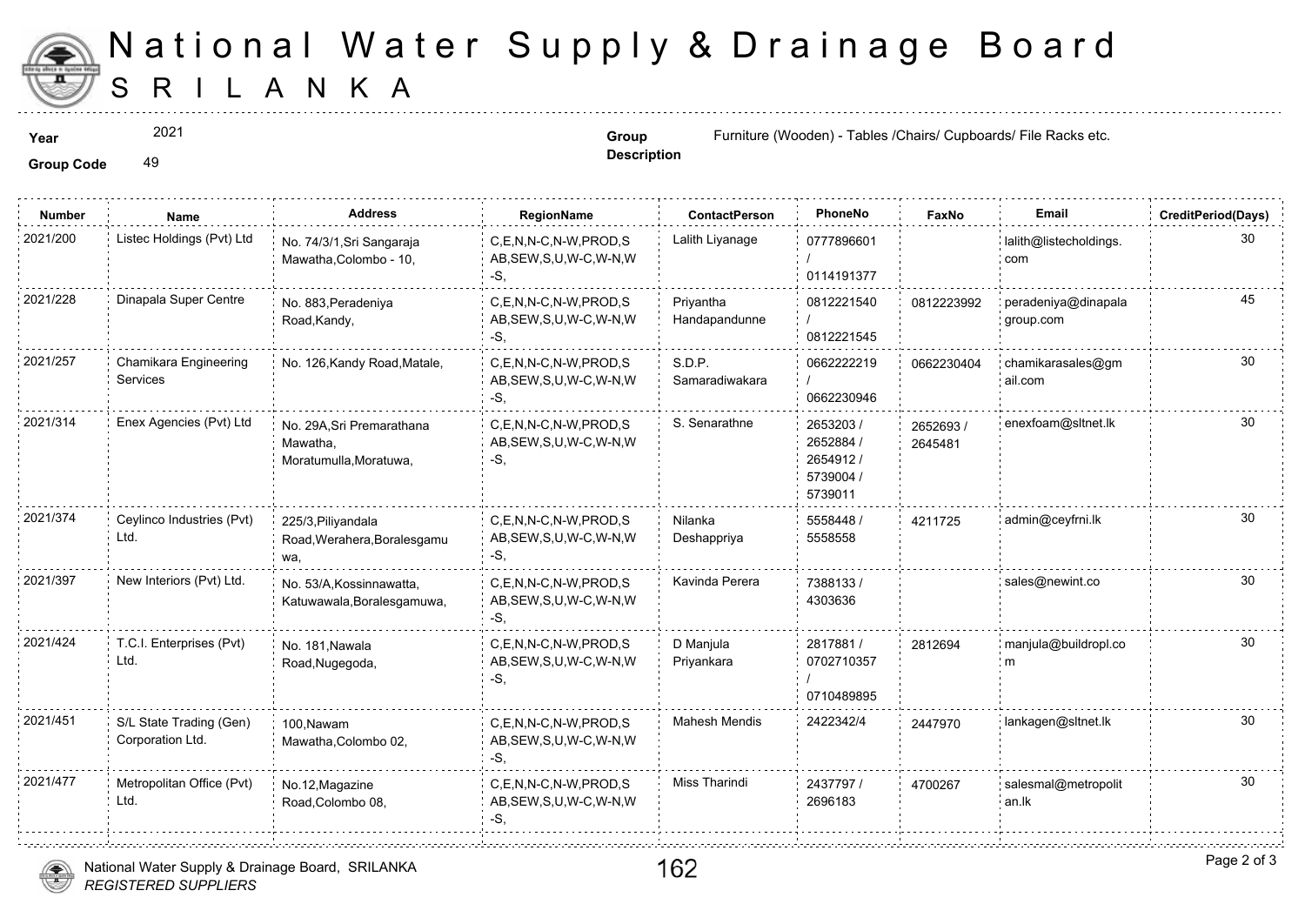

## S R I L A N K A National Water Supply & Drainage

2021

**Description**

**Year Example 2021 Group Group Group Group Furniture (Wooden) - Tables /Chairs/ Cup** 

Group Code 49

| <b>Number</b> | Name                                        | <b>Address</b>                                                 | RegionName                                                   | <b>ContactPerson</b>       | PhoneNo                                                    | Faxl             |
|---------------|---------------------------------------------|----------------------------------------------------------------|--------------------------------------------------------------|----------------------------|------------------------------------------------------------|------------------|
| 2021/200      | Listec Holdings (Pvt) Ltd                   | No. 74/3/1, Sri Sangaraja<br>Mawatha, Colombo - 10,            | C.E.N.N-C.N-W.PROD.S<br>AB, SEW, S, U, W-C, W-N, W<br>$-S$ , | Lalith Liyanage            | 0777896601<br>0114191377                                   |                  |
| 2021/228      | Dinapala Super Centre                       | No. 883, Peradeniya<br>Road, Kandy,                            | C,E,N,N-C,N-W,PROD,S<br>AB, SEW, S, U, W-C, W-N, W<br>-S,    | Priyantha<br>Handapandunne | 0812221540<br>0812221545                                   | 081222           |
| 2021/257      | Chamikara Engineering<br>Services           | No. 126, Kandy Road, Matale,                                   | C.E.N.N-C.N-W.PROD.S<br>AB, SEW, S, U, W-C, W-N, W<br>-S,    | S.D.P.<br>Samaradiwakara   | 0662222219<br>0662230946                                   | 066223           |
| 2021/314      | Enex Agencies (Pvt) Ltd                     | No. 29A.Sri Premarathana<br>Mawatha,<br>Moratumulla, Moratuwa, | C,E,N,N-C,N-W,PROD,S<br>AB, SEW, S, U, W-C, W-N, W<br>-S,    | S. Senarathne              | 2653203 /<br>2652884 /<br>2654912/<br>5739004 /<br>5739011 | 265269<br>264548 |
| 2021/374      | Ceylinco Industries (Pvt)<br>Ltd.           | 225/3, Piliyandala<br>Road, Werahera, Boralesgamu<br>wa.       | C,E,N,N-C,N-W,PROD,S<br>AB, SEW, S, U, W-C, W-N, W<br>-S.    | Nilanka<br>Deshappriya     | 5558448 /<br>5558558                                       | 421172           |
| 2021/397      | New Interiors (Pvt) Ltd.                    | No. 53/A, Kossinnawatta,<br>Katuwawala, Boralesgamuwa,         | C,E,N,N-C,N-W,PROD,S<br>AB, SEW, S, U, W-C, W-N, W<br>$-S,$  | Kavinda Perera             | 7388133/<br>4303636                                        |                  |
| 2021/424      | T.C.I. Enterprises (Pvt)<br>Ltd.            | No. 181, Nawala<br>Road, Nugegoda,                             | C,E,N,N-C,N-W,PROD,S<br>AB, SEW, S, U, W-C, W-N, W<br>-S.    | D Manjula<br>Priyankara    | 2817881 /<br>0702710357<br>0710489895                      | 281269           |
| 2021/451      | S/L State Trading (Gen)<br>Corporation Ltd. | 100.Nawam<br>Mawatha, Colombo 02,                              | C.E.N.N-C.N-W.PROD.S<br>AB, SEW, S, U, W-C, W-N, W<br>$-S$ . | <b>Mahesh Mendis</b>       | 2422342/4                                                  | 244797           |
| 2021/477      | Metropolitan Office (Pvt)<br>Ltd.           | No.12, Magazine<br>Road, Colombo 08,                           | C,E,N,N-C,N-W,PROD,S<br>AB, SEW, S, U, W-C, W-N, W<br>-S.    | Miss Tharindi              | 2437797 /<br>2696183                                       | 470026           |
|               |                                             |                                                                |                                                              |                            |                                                            |                  |



162